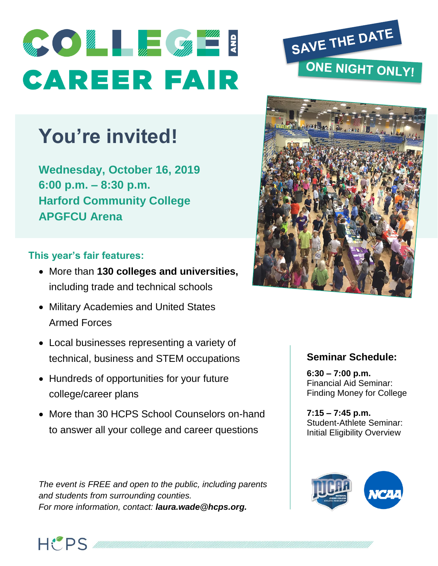

# **You're invited!**

**Wednesday, October 16, 2019 6:00 p.m. – 8:30 p.m. Harford Community College APGFCU Arena**

# **This year's fair features:**

- More than **130 colleges and universities,** including trade and technical schools
- Military Academies and United States Armed Forces
- Local businesses representing a variety of technical, business and STEM occupations
- Hundreds of opportunities for your future college/career plans
- More than 30 HCPS School Counselors on-hand to answer all your college and career questions

*The event is FREE and open to the public, including parents and students from surrounding counties. For more information, contact: laura.wade@hcps.org.*





### **Seminar Schedule:**

**6:30 – 7:00 p.m.**  Financial Aid Seminar: Finding Money for College

**7:15 – 7:45 p.m.**  Student-Athlete Seminar: Initial Eligibility Overview